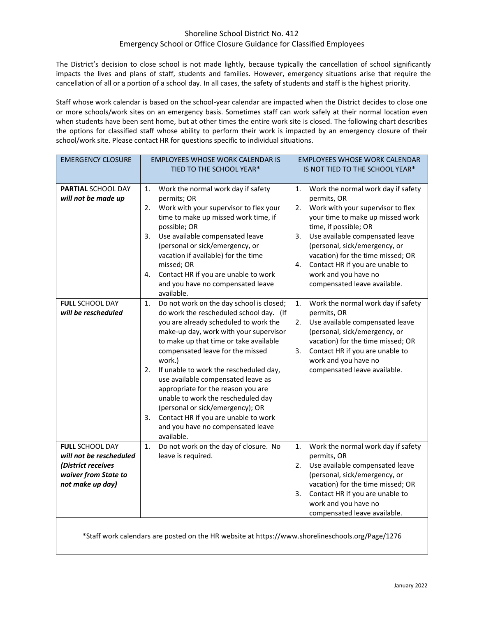## Shoreline School District No. 412 Emergency School or Office Closure Guidance for Classified Employees

The District's decision to close school is not made lightly, because typically the cancellation of school significantly impacts the lives and plans of staff, students and families. However, emergency situations arise that require the cancellation of all or a portion of a school day. In all cases, the safety of students and staff is the highest priority.

Staff whose work calendar is based on the school-year calendar are impacted when the District decides to close one or more schools/work sites on an emergency basis. Sometimes staff can work safely at their normal location even when students have been sent home, but at other times the entire work site is closed. The following chart describes the options for classified staff whose ability to perform their work is impacted by an emergency closure of their school/work site. Please contact HR for questions specific to individual situations.

| <b>EMERGENCY CLOSURE</b>                                                                                            | <b>EMPLOYEES WHOSE WORK CALENDAR IS</b><br>TIED TO THE SCHOOL YEAR*                                                                                                                                                                                                                                                                                                                                                                                                                                                                                                         | <b>EMPLOYEES WHOSE WORK CALENDAR</b><br>IS NOT TIED TO THE SCHOOL YEAR*                                                                                                                                                                                                                                                                                                         |
|---------------------------------------------------------------------------------------------------------------------|-----------------------------------------------------------------------------------------------------------------------------------------------------------------------------------------------------------------------------------------------------------------------------------------------------------------------------------------------------------------------------------------------------------------------------------------------------------------------------------------------------------------------------------------------------------------------------|---------------------------------------------------------------------------------------------------------------------------------------------------------------------------------------------------------------------------------------------------------------------------------------------------------------------------------------------------------------------------------|
| <b>PARTIAL SCHOOL DAY</b><br>will not be made up                                                                    | Work the normal work day if safety<br>1.<br>permits; OR<br>Work with your supervisor to flex your<br>2.<br>time to make up missed work time, if<br>possible; OR<br>Use available compensated leave<br>3.<br>(personal or sick/emergency, or<br>vacation if available) for the time<br>missed; OR<br>Contact HR if you are unable to work<br>4.<br>and you have no compensated leave<br>available.                                                                                                                                                                           | 1.<br>Work the normal work day if safety<br>permits, OR<br>Work with your supervisor to flex<br>2.<br>your time to make up missed work<br>time, if possible; OR<br>Use available compensated leave<br>3.<br>(personal, sick/emergency, or<br>vacation) for the time missed; OR<br>Contact HR if you are unable to<br>4.<br>work and you have no<br>compensated leave available. |
| <b>FULL SCHOOL DAY</b><br>will be rescheduled                                                                       | Do not work on the day school is closed;<br>1.<br>do work the rescheduled school day. (If<br>you are already scheduled to work the<br>make-up day, work with your supervisor<br>to make up that time or take available<br>compensated leave for the missed<br>work.)<br>If unable to work the rescheduled day,<br>2.<br>use available compensated leave as<br>appropriate for the reason you are<br>unable to work the rescheduled day<br>(personal or sick/emergency); OR<br>Contact HR if you are unable to work<br>3.<br>and you have no compensated leave<br>available. | Work the normal work day if safety<br>1.<br>permits, OR<br>Use available compensated leave<br>2.<br>(personal, sick/emergency, or<br>vacation) for the time missed; OR<br>Contact HR if you are unable to<br>3.<br>work and you have no<br>compensated leave available.                                                                                                         |
| <b>FULL SCHOOL DAY</b><br>will not be rescheduled<br>(District receives<br>waiver from State to<br>not make up day) | Do not work on the day of closure. No<br>1.<br>leave is required.                                                                                                                                                                                                                                                                                                                                                                                                                                                                                                           | 1.<br>Work the normal work day if safety<br>permits, OR<br>Use available compensated leave<br>2.<br>(personal, sick/emergency, or<br>vacation) for the time missed; OR<br>Contact HR if you are unable to<br>3.<br>work and you have no<br>compensated leave available.                                                                                                         |

\*Staff work calendars are posted on the HR website at https://www.shorelineschools.org/Page/1276